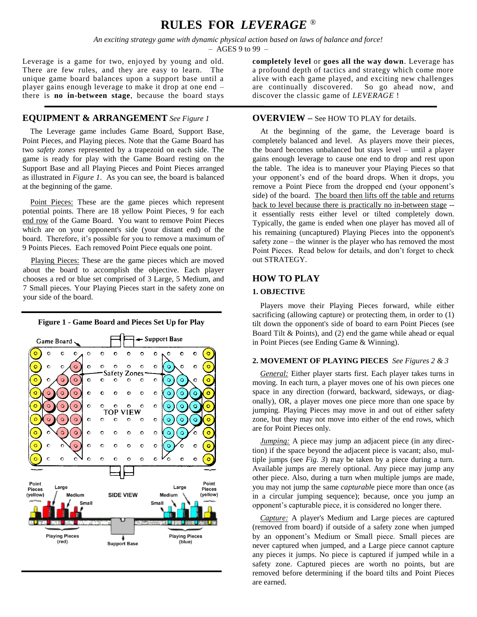# **RULES FOR** *LEVERAGE* ®

*An exciting strategy game with dynamic physical action based on laws of balance and force!*  $-$  AGES 9 to 99  $-$ 

Leverage is a game for two, enjoyed by young and old. There are few rules, and they are easy to learn. The unique game board balances upon a support base until a player gains enough leverage to make it drop at one end – there is **no in-between stage**, because the board stays

# **EQUIPMENT & ARRANGEMENT** *See Figure 1*

 The Leverage game includes Game Board, Support Base, Point Pieces, and Playing pieces. Note that the Game Board has two *safety zones* represented by a trapezoid on each side. The game is ready for play with the Game Board resting on the Support Base and all Playing Pieces and Point Pieces arranged as illustrated in *Figure 1*. As you can see, the board is balanced at the beginning of the game.

Point Pieces: These are the game pieces which represent potential points. There are 18 yellow Point Pieces, 9 for each end row of the Game Board. You want to remove Point Pieces which are on your opponent's side (your distant end) of the board. Therefore, it's possible for you to remove a maximum of 9 Points Pieces. Each removed Point Piece equals one point.

 Playing Pieces: These are the game pieces which are moved about the board to accomplish the objective. Each player chooses a red or blue set comprised of 3 Large, 5 Medium, and 7 Small pieces. Your Playing Pieces start in the safety zone on your side of the board.



**completely level** or **goes all the way down**. Leverage has a profound depth of tactics and strategy which come more alive with each game played, and exciting new challenges are continually discovered. So go ahead now, and discover the classic game of *LEVERAGE* !

### **OVERVIEW –** See HOW TO PLAY for details.

 At the beginning of the game, the Leverage board is completely balanced and level. As players move their pieces, the board becomes unbalanced but stays level – until a player gains enough leverage to cause one end to drop and rest upon the table. The idea is to maneuver your Playing Pieces so that your opponent's end of the board drops. When it drops, you remove a Point Piece from the dropped end (your opponent's side) of the board. The board then lifts off the table and returns back to level because there is practically no in-between stage - it essentially rests either level or tilted completely down. Typically, the game is ended when one player has moved all of his remaining (uncaptured) Playing Pieces into the opponent's safety zone – the winner is the player who has removed the most Point Pieces. Read below for details, and don't forget to check out STRATEGY.

# **HOW TO PLAY**

#### **1. OBJECTIVE**

 Players move their Playing Pieces forward, while either sacrificing (allowing capture) or protecting them, in order to (1) tilt down the opponent's side of board to earn Point Pieces (see Board Tilt & Points), and (2) end the game while ahead or equal in Point Pieces (see Ending Game & Winning).

### **2. MOVEMENT OF PLAYING PIECES** *See Figures 2 & 3*

 *General:* Either player starts first. Each player takes turns in moving. In each turn, a player moves one of his own pieces one space in any direction (forward, backward, sideways, or diagonally), OR, a player moves one piece more than one space by jumping. Playing Pieces may move in and out of either safety zone, but they may not move into either of the end rows, which are for Point Pieces only.

*<u>Jumping:*</u> A piece may jump an adjacent piece (in any direction) if the space beyond the adjacent piece is vacant; also, multiple jumps (see *Fig. 3*) may be taken by a piece during a turn. Available jumps are merely optional. Any piece may jump any other piece. Also, during a turn when multiple jumps are made, you may not jump the same *capturabl*e piece more than once (as in a circular jumping sequence); because, once you jump an opponent's capturable piece, it is considered no longer there.

 *Capture:* A player's Medium and Large pieces are captured (removed from board) if outside of a safety zone when jumped by an opponent's Medium or Small piece. Small pieces are never captured when jumped, and a Large piece cannot capture any pieces it jumps. No piece is captured if jumped while in a safety zone. Captured pieces are worth no points, but are removed before determining if the board tilts and Point Pieces are earned.